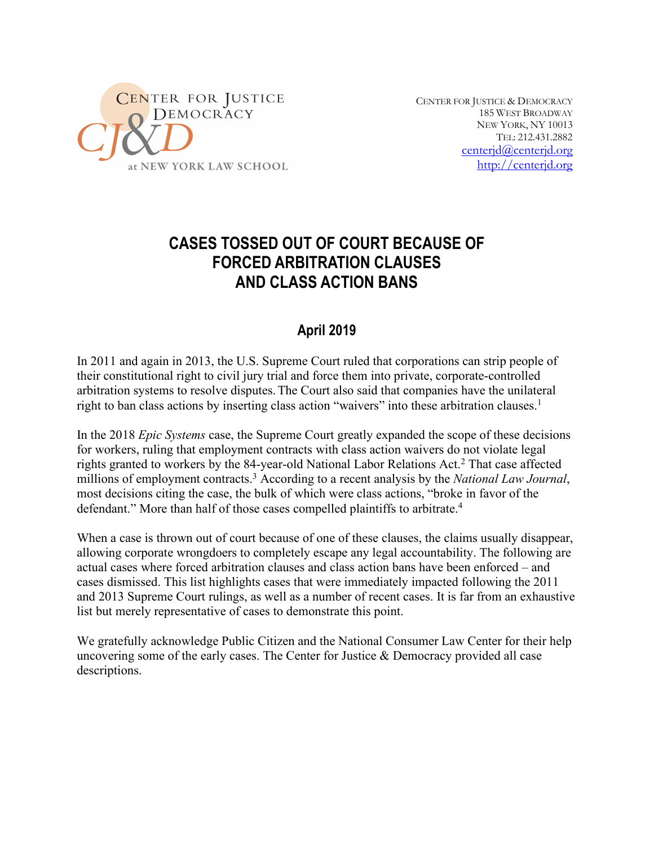

CENTER FOR JUSTICE & DEMOCRACY 185 WEST BROADWAY NEW YORK, NY 10013 TEL: 212.431.2882 centerjd@centerjd.org http://centerjd.org

# **CASES TOSSED OUT OF COURT BECAUSE OF FORCED ARBITRATION CLAUSES AND CLASS ACTION BANS**

# **April 2019**

In 2011 and again in 2013, the U.S. Supreme Court ruled that corporations can strip people of their constitutional right to civil jury trial and force them into private, corporate-controlled arbitration systems to resolve disputes.The Court also said that companies have the unilateral right to ban class actions by inserting class action "waivers" into these arbitration clauses. 1

In the 2018 *Epic Systems* case, the Supreme Court greatly expanded the scope of these decisions for workers, ruling that employment contracts with class action waivers do not violate legal rights granted to workers by the 84-year-old National Labor Relations Act.<sup>2</sup> That case affected millions of employment contracts.3 According to a recent analysis by the *National Law Journal*, most decisions citing the case, the bulk of which were class actions, "broke in favor of the defendant." More than half of those cases compelled plaintiffs to arbitrate. 4

When a case is thrown out of court because of one of these clauses, the claims usually disappear, allowing corporate wrongdoers to completely escape any legal accountability. The following are actual cases where forced arbitration clauses and class action bans have been enforced – and cases dismissed. This list highlights cases that were immediately impacted following the 2011 and 2013 Supreme Court rulings, as well as a number of recent cases. It is far from an exhaustive list but merely representative of cases to demonstrate this point.

We gratefully acknowledge Public Citizen and the National Consumer Law Center for their help uncovering some of the early cases. The Center for Justice  $\&$  Democracy provided all case descriptions.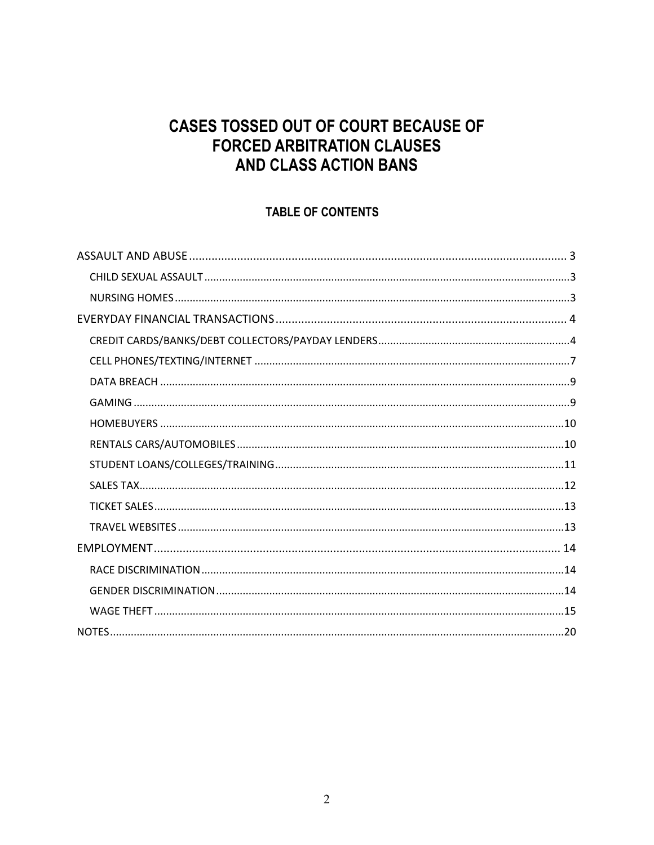# **CASES TOSSED OUT OF COURT BECAUSE OF FORCED ARBITRATION CLAUSES** AND CLASS ACTION BANS

# TABLE OF CONTENTS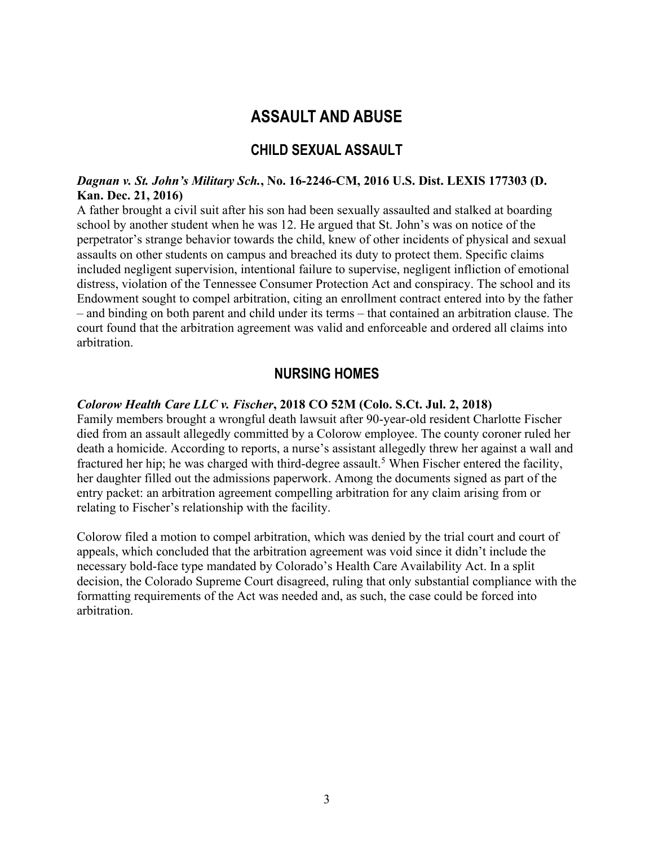# **ASSAULT AND ABUSE**

# **CHILD SEXUAL ASSAULT**

#### *Dagnan v. St. John's Military Sch.***, No. 16-2246-CM, 2016 U.S. Dist. LEXIS 177303 (D. Kan. Dec. 21, 2016)**

A father brought a civil suit after his son had been sexually assaulted and stalked at boarding school by another student when he was 12. He argued that St. John's was on notice of the perpetrator's strange behavior towards the child, knew of other incidents of physical and sexual assaults on other students on campus and breached its duty to protect them. Specific claims included negligent supervision, intentional failure to supervise, negligent infliction of emotional distress, violation of the Tennessee Consumer Protection Act and conspiracy. The school and its Endowment sought to compel arbitration, citing an enrollment contract entered into by the father – and binding on both parent and child under its terms – that contained an arbitration clause. The court found that the arbitration agreement was valid and enforceable and ordered all claims into arbitration.

# **NURSING HOMES**

#### *Colorow Health Care LLC v. Fischer***, 2018 CO 52M (Colo. S.Ct. Jul. 2, 2018)**

Family members brought a wrongful death lawsuit after 90-year-old resident Charlotte Fischer died from an assault allegedly committed by a Colorow employee. The county coroner ruled her death a homicide. According to reports, a nurse's assistant allegedly threw her against a wall and fractured her hip; he was charged with third-degree assault.<sup>5</sup> When Fischer entered the facility, her daughter filled out the admissions paperwork. Among the documents signed as part of the entry packet: an arbitration agreement compelling arbitration for any claim arising from or relating to Fischer's relationship with the facility.

Colorow filed a motion to compel arbitration, which was denied by the trial court and court of appeals, which concluded that the arbitration agreement was void since it didn't include the necessary bold-face type mandated by Colorado's Health Care Availability Act. In a split decision, the Colorado Supreme Court disagreed, ruling that only substantial compliance with the formatting requirements of the Act was needed and, as such, the case could be forced into arbitration.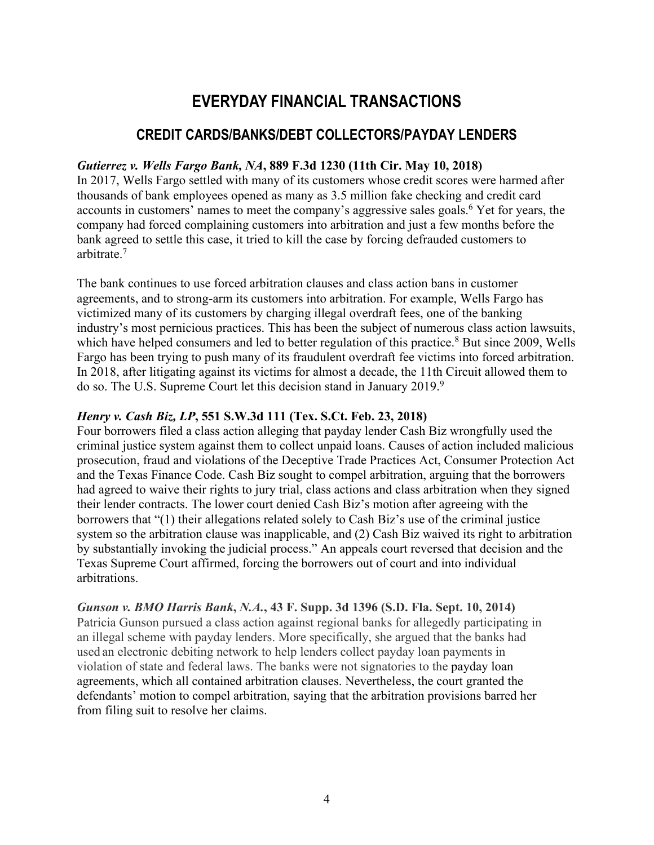# **EVERYDAY FINANCIAL TRANSACTIONS**

# **CREDIT CARDS/BANKS/DEBT COLLECTORS/PAYDAY LENDERS**

#### *Gutierrez v. Wells Fargo Bank, NA***, 889 F.3d 1230 (11th Cir. May 10, 2018)**

In 2017, Wells Fargo settled with many of its customers whose credit scores were harmed after thousands of bank employees opened as many as 3.5 million fake checking and credit card accounts in customers' names to meet the company's aggressive sales goals. <sup>6</sup> Yet for years, the company had forced complaining customers into arbitration and just a few months before the bank agreed to settle this case, it tried to kill the case by forcing defrauded customers to arbitrate<sup>7</sup>

The bank continues to use forced arbitration clauses and class action bans in customer agreements, and to strong-arm its customers into arbitration. For example, Wells Fargo has victimized many of its customers by charging illegal overdraft fees, one of the banking industry's most pernicious practices. This has been the subject of numerous class action lawsuits, which have helped consumers and led to better regulation of this practice.<sup>8</sup> But since 2009, Wells Fargo has been trying to push many of its fraudulent overdraft fee victims into forced arbitration. In 2018, after litigating against its victims for almost a decade, the 11th Circuit allowed them to do so. The U.S. Supreme Court let this decision stand in January 2019.9

#### *Henry v. Cash Biz, LP***, 551 S.W.3d 111 (Tex. S.Ct. Feb. 23, 2018)**

Four borrowers filed a class action alleging that payday lender Cash Biz wrongfully used the criminal justice system against them to collect unpaid loans. Causes of action included malicious prosecution, fraud and violations of the Deceptive Trade Practices Act, Consumer Protection Act and the Texas Finance Code. Cash Biz sought to compel arbitration, arguing that the borrowers had agreed to waive their rights to jury trial, class actions and class arbitration when they signed their lender contracts. The lower court denied Cash Biz's motion after agreeing with the borrowers that "(1) their allegations related solely to Cash Biz's use of the criminal justice system so the arbitration clause was inapplicable, and (2) Cash Biz waived its right to arbitration by substantially invoking the judicial process." An appeals court reversed that decision and the Texas Supreme Court affirmed, forcing the borrowers out of court and into individual arbitrations.

*Gunson v. BMO Harris Bank***,** *N.A.***, 43 F. Supp. 3d 1396 (S.D. Fla. Sept. 10, 2014)** Patricia Gunson pursued a class action against regional banks for allegedly participating in an illegal scheme with payday lenders. More specifically, she argued that the banks had used an electronic debiting network to help lenders collect payday loan payments in violation of state and federal laws. The banks were not signatories to the payday loan agreements, which all contained arbitration clauses. Nevertheless, the court granted the defendants' motion to compel arbitration, saying that the arbitration provisions barred her from filing suit to resolve her claims.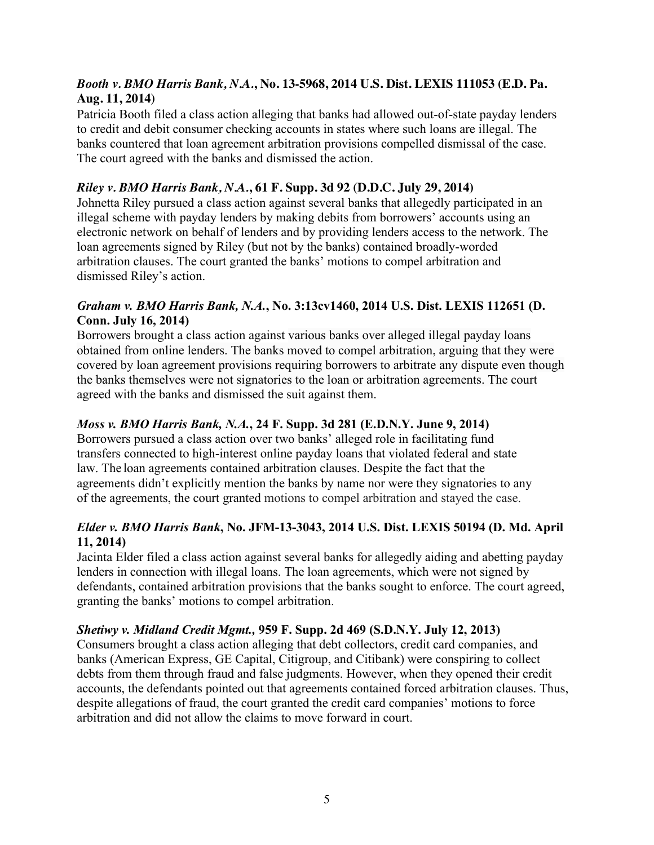# *Booth v. BMO Harris Bank, N.A.***, No. 13-5968, 2014 U.S. Dist. LEXIS 111053 (E.D. Pa. Aug. 11, 2014)**

Patricia Booth filed a class action alleging that banks had allowed out-of-state payday lenders to credit and debit consumer checking accounts in states where such loans are illegal. The banks countered that loan agreement arbitration provisions compelled dismissal of the case. The court agreed with the banks and dismissed the action.

# *Riley v. BMO Harris Bank, N.A.***, 61 F. Supp. 3d 92 (D.D.C. July 29, 2014)**

Johnetta Riley pursued a class action against several banks that allegedly participated in an illegal scheme with payday lenders by making debits from borrowers' accounts using an electronic network on behalf of lenders and by providing lenders access to the network. The loan agreements signed by Riley (but not by the banks) contained broadly-worded arbitration clauses. The court granted the banks' motions to compel arbitration and dismissed Riley's action.

# *Graham v. BMO Harris Bank, N.A.***, No. 3:13cv1460, 2014 U.S. Dist. LEXIS 112651 (D. Conn. July 16, 2014)**

Borrowers brought a class action against various banks over alleged illegal payday loans obtained from online lenders. The banks moved to compel arbitration, arguing that they were covered by loan agreement provisions requiring borrowers to arbitrate any dispute even though the banks themselves were not signatories to the loan or arbitration agreements. The court agreed with the banks and dismissed the suit against them.

# *Moss v. BMO Harris Bank, N.A.***, 24 F. Supp. 3d 281 (E.D.N.Y. June 9, 2014)**

Borrowers pursued a class action over two banks' alleged role in facilitating fund transfers connected to high-interest online payday loans that violated federal and state law. The loan agreements contained arbitration clauses. Despite the fact that the agreements didn't explicitly mention the banks by name nor were they signatories to any of the agreements, the court granted motions to compel arbitration and stayed the case.

# *Elder v. BMO Harris Bank***, No. JFM-13-3043, 2014 U.S. Dist. LEXIS 50194 (D. Md. April 11, 2014)**

Jacinta Elder filed a class action against several banks for allegedly aiding and abetting payday lenders in connection with illegal loans. The loan agreements, which were not signed by defendants, contained arbitration provisions that the banks sought to enforce. The court agreed, granting the banks' motions to compel arbitration.

# *Shetiwy v. Midland Credit Mgmt.,* **959 F. Supp. 2d 469 (S.D.N.Y. July 12, 2013)**

Consumers brought a class action alleging that debt collectors, credit card companies, and banks (American Express, GE Capital, Citigroup, and Citibank) were conspiring to collect debts from them through fraud and false judgments. However, when they opened their credit accounts, the defendants pointed out that agreements contained forced arbitration clauses. Thus, despite allegations of fraud, the court granted the credit card companies' motions to force arbitration and did not allow the claims to move forward in court.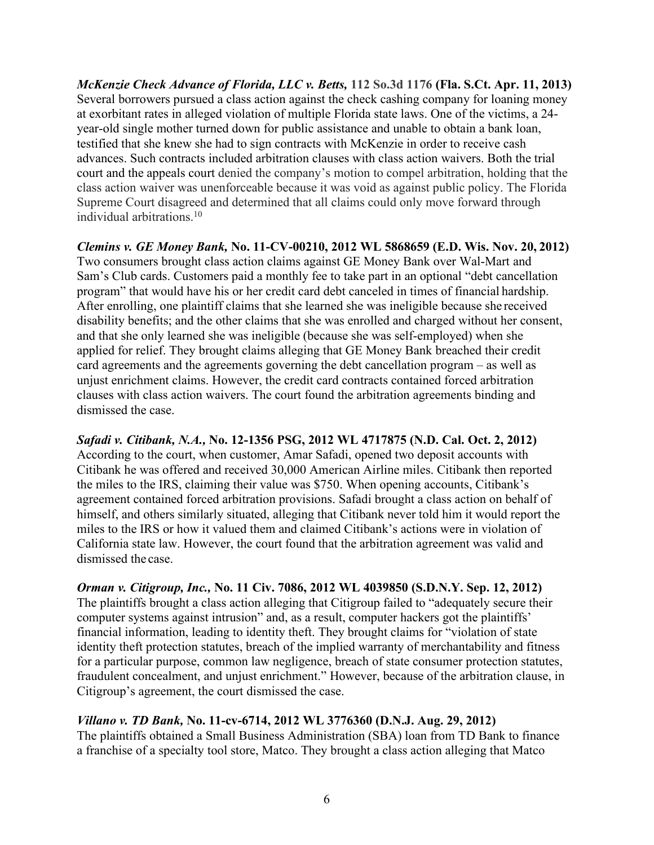*McKenzie Check Advance of Florida, LLC v. Betts,* **112 So.3d 1176 (Fla. S.Ct. Apr. 11, 2013)** Several borrowers pursued a class action against the check cashing company for loaning money at exorbitant rates in alleged violation of multiple Florida state laws. One of the victims, a 24 year-old single mother turned down for public assistance and unable to obtain a bank loan, testified that she knew she had to sign contracts with McKenzie in order to receive cash advances. Such contracts included arbitration clauses with class action waivers. Both the trial court and the appeals court denied the company's motion to compel arbitration, holding that the class action waiver was unenforceable because it was void as against public policy. The Florida Supreme Court disagreed and determined that all claims could only move forward through individual arbitrations.10

*Clemins v. GE Money Bank,* **No. 11-CV-00210, 2012 WL 5868659 (E.D. Wis. Nov. 20, 2012)** Two consumers brought class action claims against GE Money Bank over Wal-Mart and Sam's Club cards. Customers paid a monthly fee to take part in an optional "debt cancellation program" that would have his or her credit card debt canceled in times of financial hardship. After enrolling, one plaintiff claims that she learned she was ineligible because she received disability benefits; and the other claims that she was enrolled and charged without her consent, and that she only learned she was ineligible (because she was self-employed) when she applied for relief. They brought claims alleging that GE Money Bank breached their credit card agreements and the agreements governing the debt cancellation program – as well as unjust enrichment claims. However, the credit card contracts contained forced arbitration clauses with class action waivers. The court found the arbitration agreements binding and dismissed the case.

*Safadi v. Citibank, N.A.,* **No. 12-1356 PSG, 2012 WL 4717875 (N.D. Cal. Oct. 2, 2012)** According to the court, when customer, Amar Safadi, opened two deposit accounts with Citibank he was offered and received 30,000 American Airline miles. Citibank then reported the miles to the IRS, claiming their value was \$750. When opening accounts, Citibank's agreement contained forced arbitration provisions. Safadi brought a class action on behalf of himself, and others similarly situated, alleging that Citibank never told him it would report the miles to the IRS or how it valued them and claimed Citibank's actions were in violation of California state law. However, the court found that the arbitration agreement was valid and dismissed the case.

*Orman v. Citigroup, Inc.,* **No. 11 Civ. 7086, 2012 WL 4039850 (S.D.N.Y. Sep. 12, 2012)** The plaintiffs brought a class action alleging that Citigroup failed to "adequately secure their computer systems against intrusion" and, as a result, computer hackers got the plaintiffs' financial information, leading to identity theft. They brought claims for "violation of state identity theft protection statutes, breach of the implied warranty of merchantability and fitness for a particular purpose, common law negligence, breach of state consumer protection statutes, fraudulent concealment, and unjust enrichment." However, because of the arbitration clause, in Citigroup's agreement, the court dismissed the case.

*Villano v. TD Bank,* **No. 11-cv-6714, 2012 WL 3776360 (D.N.J. Aug. 29, 2012)** The plaintiffs obtained a Small Business Administration (SBA) loan from TD Bank to finance a franchise of a specialty tool store, Matco. They brought a class action alleging that Matco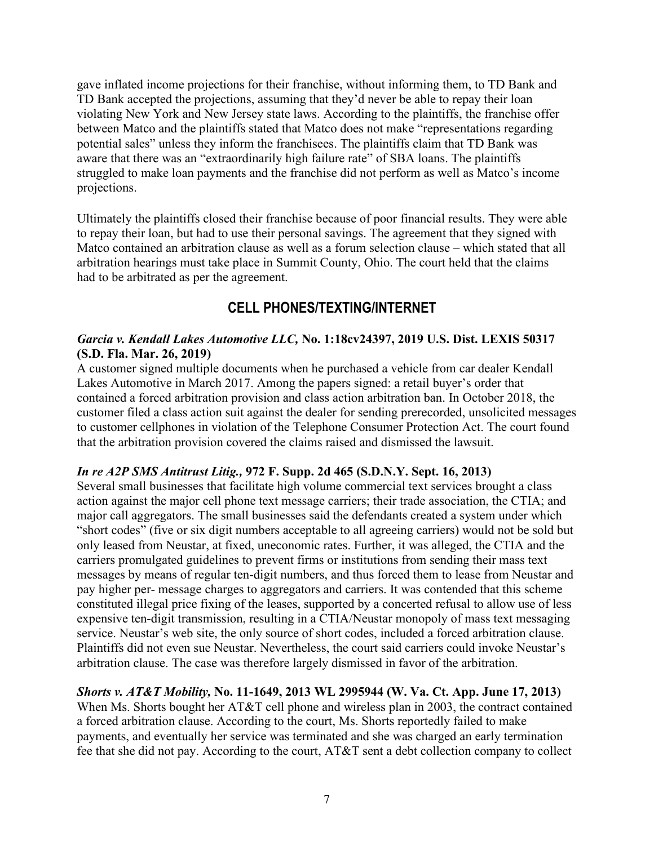gave inflated income projections for their franchise, without informing them, to TD Bank and TD Bank accepted the projections, assuming that they'd never be able to repay their loan violating New York and New Jersey state laws. According to the plaintiffs, the franchise offer between Matco and the plaintiffs stated that Matco does not make "representations regarding potential sales" unless they inform the franchisees. The plaintiffs claim that TD Bank was aware that there was an "extraordinarily high failure rate" of SBA loans. The plaintiffs struggled to make loan payments and the franchise did not perform as well as Matco's income projections.

Ultimately the plaintiffs closed their franchise because of poor financial results. They were able to repay their loan, but had to use their personal savings. The agreement that they signed with Matco contained an arbitration clause as well as a forum selection clause – which stated that all arbitration hearings must take place in Summit County, Ohio. The court held that the claims had to be arbitrated as per the agreement.

# **CELL PHONES/TEXTING/INTERNET**

# *Garcia v. Kendall Lakes Automotive LLC,* **No. 1:18cv24397, 2019 U.S. Dist. LEXIS 50317 (S.D. Fla. Mar. 26, 2019)**

A customer signed multiple documents when he purchased a vehicle from car dealer Kendall Lakes Automotive in March 2017. Among the papers signed: a retail buyer's order that contained a forced arbitration provision and class action arbitration ban. In October 2018, the customer filed a class action suit against the dealer for sending prerecorded, unsolicited messages to customer cellphones in violation of the Telephone Consumer Protection Act. The court found that the arbitration provision covered the claims raised and dismissed the lawsuit.

# *In re A2P SMS Antitrust Litig.,* **972 F. Supp. 2d 465 (S.D.N.Y. Sept. 16, 2013)**

Several small businesses that facilitate high volume commercial text services brought a class action against the major cell phone text message carriers; their trade association, the CTIA; and major call aggregators. The small businesses said the defendants created a system under which "short codes" (five or six digit numbers acceptable to all agreeing carriers) would not be sold but only leased from Neustar, at fixed, uneconomic rates. Further, it was alleged, the CTIA and the carriers promulgated guidelines to prevent firms or institutions from sending their mass text messages by means of regular ten-digit numbers, and thus forced them to lease from Neustar and pay higher per- message charges to aggregators and carriers. It was contended that this scheme constituted illegal price fixing of the leases, supported by a concerted refusal to allow use of less expensive ten-digit transmission, resulting in a CTIA/Neustar monopoly of mass text messaging service. Neustar's web site, the only source of short codes, included a forced arbitration clause. Plaintiffs did not even sue Neustar. Nevertheless, the court said carriers could invoke Neustar's arbitration clause. The case was therefore largely dismissed in favor of the arbitration.

# *Shorts v. AT&T Mobility,* **No. 11-1649, 2013 WL 2995944 (W. Va. Ct. App. June 17, 2013)**

When Ms. Shorts bought her AT&T cell phone and wireless plan in 2003, the contract contained a forced arbitration clause. According to the court, Ms. Shorts reportedly failed to make payments, and eventually her service was terminated and she was charged an early termination fee that she did not pay. According to the court, AT&T sent a debt collection company to collect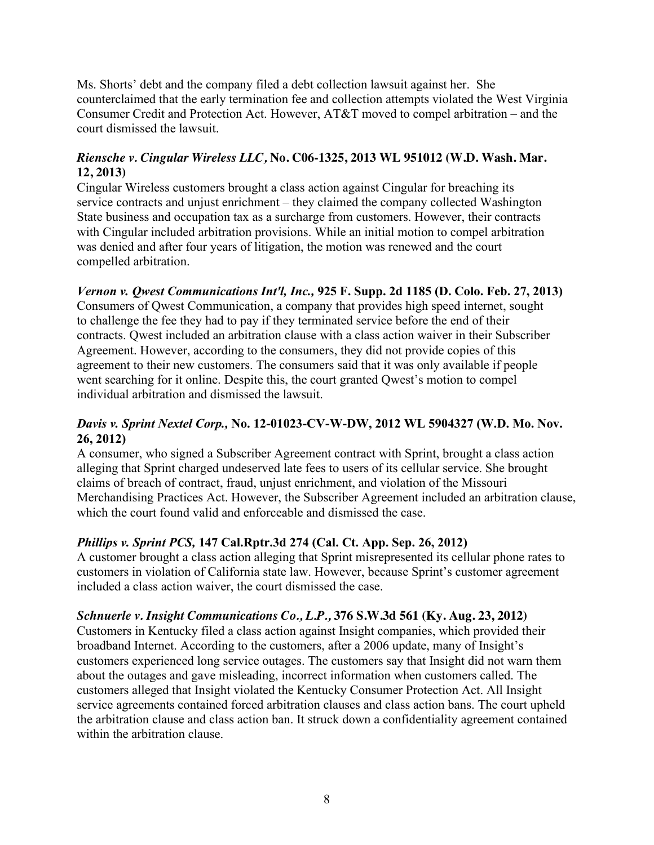Ms. Shorts' debt and the company filed a debt collection lawsuit against her. She counterclaimed that the early termination fee and collection attempts violated the West Virginia Consumer Credit and Protection Act. However, AT&T moved to compel arbitration – and the court dismissed the lawsuit.

# *Riensche v. Cingular Wireless LLC,* **No. C06-1325, 2013 WL 951012 (W.D. Wash. Mar. 12, 2013)**

Cingular Wireless customers brought a class action against Cingular for breaching its service contracts and unjust enrichment – they claimed the company collected Washington State business and occupation tax as a surcharge from customers. However, their contracts with Cingular included arbitration provisions. While an initial motion to compel arbitration was denied and after four years of litigation, the motion was renewed and the court compelled arbitration.

# *Vernon v. Qwest Communications Int'l, Inc.,* **925 F. Supp. 2d 1185 (D. Colo. Feb. 27, 2013)**

Consumers of Qwest Communication, a company that provides high speed internet, sought to challenge the fee they had to pay if they terminated service before the end of their contracts. Qwest included an arbitration clause with a class action waiver in their Subscriber Agreement. However, according to the consumers, they did not provide copies of this agreement to their new customers. The consumers said that it was only available if people went searching for it online. Despite this, the court granted Qwest's motion to compel individual arbitration and dismissed the lawsuit.

# *Davis v. Sprint Nextel Corp.,* **No. 12-01023-CV-W-DW, 2012 WL 5904327 (W.D. Mo. Nov. 26, 2012)**

A consumer, who signed a Subscriber Agreement contract with Sprint, brought a class action alleging that Sprint charged undeserved late fees to users of its cellular service. She brought claims of breach of contract, fraud, unjust enrichment, and violation of the Missouri Merchandising Practices Act. However, the Subscriber Agreement included an arbitration clause, which the court found valid and enforceable and dismissed the case.

# *Phillips v. Sprint PCS,* **147 Cal.Rptr.3d 274 (Cal. Ct. App. Sep. 26, 2012)**

A customer brought a class action alleging that Sprint misrepresented its cellular phone rates to customers in violation of California state law. However, because Sprint's customer agreement included a class action waiver, the court dismissed the case.

# *Schnuerle v. Insight Communications Co., L.P.,* **376 S.W.3d 561 (Ky. Aug. 23, 2012)**

Customers in Kentucky filed a class action against Insight companies, which provided their broadband Internet. According to the customers, after a 2006 update, many of Insight's customers experienced long service outages. The customers say that Insight did not warn them about the outages and gave misleading, incorrect information when customers called. The customers alleged that Insight violated the Kentucky Consumer Protection Act. All Insight service agreements contained forced arbitration clauses and class action bans. The court upheld the arbitration clause and class action ban. It struck down a confidentiality agreement contained within the arbitration clause.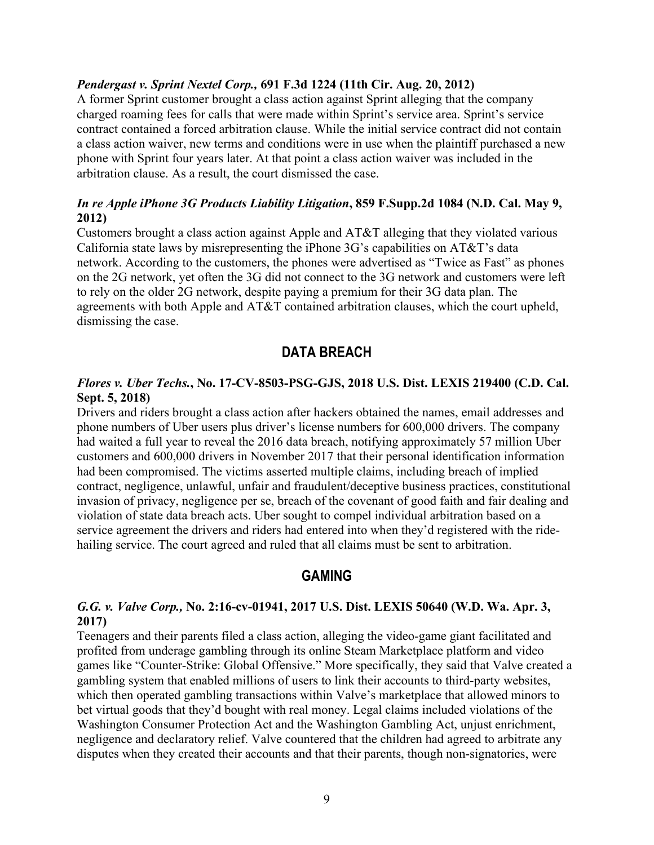#### *Pendergast v. Sprint Nextel Corp.,* **691 F.3d 1224 (11th Cir. Aug. 20, 2012)**

A former Sprint customer brought a class action against Sprint alleging that the company charged roaming fees for calls that were made within Sprint's service area. Sprint's service contract contained a forced arbitration clause. While the initial service contract did not contain a class action waiver, new terms and conditions were in use when the plaintiff purchased a new phone with Sprint four years later. At that point a class action waiver was included in the arbitration clause. As a result, the court dismissed the case.

#### *In re Apple iPhone 3G Products Liability Litigation***, 859 F.Supp.2d 1084 (N.D. Cal. May 9, 2012)**

Customers brought a class action against Apple and AT&T alleging that they violated various California state laws by misrepresenting the iPhone 3G's capabilities on AT&T's data network. According to the customers, the phones were advertised as "Twice as Fast" as phones on the 2G network, yet often the 3G did not connect to the 3G network and customers were left to rely on the older 2G network, despite paying a premium for their 3G data plan. The agreements with both Apple and AT&T contained arbitration clauses, which the court upheld, dismissing the case.

# **DATA BREACH**

#### *Flores v. Uber Techs.***, No. 17-CV-8503-PSG-GJS, 2018 U.S. Dist. LEXIS 219400 (C.D. Cal. Sept. 5, 2018)**

Drivers and riders brought a class action after hackers obtained the names, email addresses and phone numbers of Uber users plus driver's license numbers for 600,000 drivers. The company had waited a full year to reveal the 2016 data breach, notifying approximately 57 million Uber customers and 600,000 drivers in November 2017 that their personal identification information had been compromised. The victims asserted multiple claims, including breach of implied contract, negligence, unlawful, unfair and fraudulent/deceptive business practices, constitutional invasion of privacy, negligence per se, breach of the covenant of good faith and fair dealing and violation of state data breach acts. Uber sought to compel individual arbitration based on a service agreement the drivers and riders had entered into when they'd registered with the ridehailing service. The court agreed and ruled that all claims must be sent to arbitration.

# **GAMING**

#### *G.G. v. Valve Corp.,* **No. 2:16-cv-01941, 2017 U.S. Dist. LEXIS 50640 (W.D. Wa. Apr. 3, 2017)**

Teenagers and their parents filed a class action, alleging the video-game giant facilitated and profited from underage gambling through its online Steam Marketplace platform and video games like "Counter-Strike: Global Offensive." More specifically, they said that Valve created a gambling system that enabled millions of users to link their accounts to third-party websites, which then operated gambling transactions within Valve's marketplace that allowed minors to bet virtual goods that they'd bought with real money. Legal claims included violations of the Washington Consumer Protection Act and the Washington Gambling Act, unjust enrichment, negligence and declaratory relief. Valve countered that the children had agreed to arbitrate any disputes when they created their accounts and that their parents, though non-signatories, were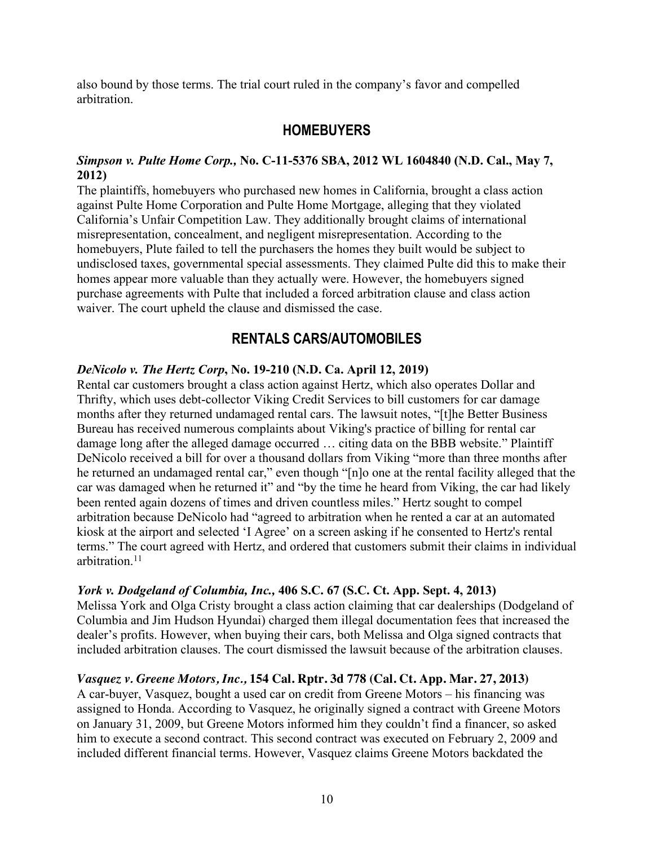also bound by those terms. The trial court ruled in the company's favor and compelled arbitration.

# **HOMEBUYERS**

# *Simpson v. Pulte Home Corp.,* **No. C-11-5376 SBA, 2012 WL 1604840 (N.D. Cal., May 7, 2012)**

The plaintiffs, homebuyers who purchased new homes in California, brought a class action against Pulte Home Corporation and Pulte Home Mortgage, alleging that they violated California's Unfair Competition Law. They additionally brought claims of international misrepresentation, concealment, and negligent misrepresentation. According to the homebuyers, Plute failed to tell the purchasers the homes they built would be subject to undisclosed taxes, governmental special assessments. They claimed Pulte did this to make their homes appear more valuable than they actually were. However, the homebuyers signed purchase agreements with Pulte that included a forced arbitration clause and class action waiver. The court upheld the clause and dismissed the case.

# **RENTALS CARS/AUTOMOBILES**

# *DeNicolo v. The Hertz Corp***, No. 19-210 (N.D. Ca. April 12, 2019)**

Rental car customers brought a class action against Hertz, which also operates Dollar and Thrifty, which uses debt-collector Viking Credit Services to bill customers for car damage months after they returned undamaged rental cars. The lawsuit notes, "[t]he Better Business Bureau has received numerous complaints about Viking's practice of billing for rental car damage long after the alleged damage occurred … citing data on the BBB website." Plaintiff DeNicolo received a bill for over a thousand dollars from Viking "more than three months after he returned an undamaged rental car," even though "[n]o one at the rental facility alleged that the car was damaged when he returned it" and "by the time he heard from Viking, the car had likely been rented again dozens of times and driven countless miles." Hertz sought to compel arbitration because DeNicolo had "agreed to arbitration when he rented a car at an automated kiosk at the airport and selected 'I Agree' on a screen asking if he consented to Hertz's rental terms." The court agreed with Hertz, and ordered that customers submit their claims in individual arbitration<sup>11</sup>

# *York v. Dodgeland of Columbia, Inc.,* **406 S.C. 67 (S.C. Ct. App. Sept. 4, 2013)**

Melissa York and Olga Cristy brought a class action claiming that car dealerships (Dodgeland of Columbia and Jim Hudson Hyundai) charged them illegal documentation fees that increased the dealer's profits. However, when buying their cars, both Melissa and Olga signed contracts that included arbitration clauses. The court dismissed the lawsuit because of the arbitration clauses.

# *Vasquez v. Greene Motors, Inc.,* **154 Cal. Rptr. 3d 778 (Cal. Ct. App. Mar. 27, 2013)**

A car-buyer, Vasquez, bought a used car on credit from Greene Motors – his financing was assigned to Honda. According to Vasquez, he originally signed a contract with Greene Motors on January 31, 2009, but Greene Motors informed him they couldn't find a financer, so asked him to execute a second contract. This second contract was executed on February 2, 2009 and included different financial terms. However, Vasquez claims Greene Motors backdated the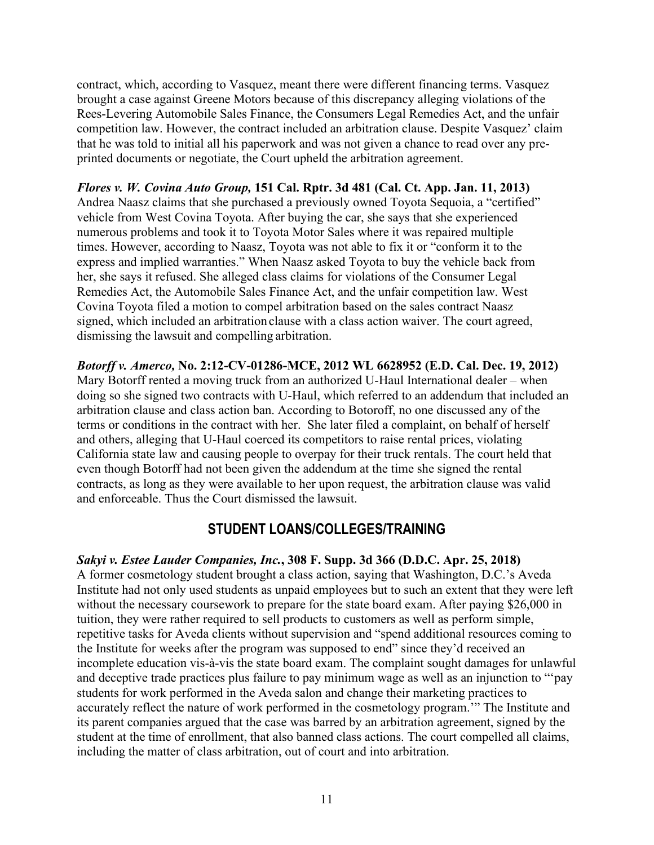contract, which, according to Vasquez, meant there were different financing terms. Vasquez brought a case against Greene Motors because of this discrepancy alleging violations of the Rees-Levering Automobile Sales Finance, the Consumers Legal Remedies Act, and the unfair competition law. However, the contract included an arbitration clause. Despite Vasquez' claim that he was told to initial all his paperwork and was not given a chance to read over any preprinted documents or negotiate, the Court upheld the arbitration agreement.

#### *Flores v. W. Covina Auto Group,* **151 Cal. Rptr. 3d 481 (Cal. Ct. App. Jan. 11, 2013)** Andrea Naasz claims that she purchased a previously owned Toyota Sequoia, a "certified" vehicle from West Covina Toyota. After buying the car, she says that she experienced numerous problems and took it to Toyota Motor Sales where it was repaired multiple times. However, according to Naasz, Toyota was not able to fix it or "conform it to the express and implied warranties." When Naasz asked Toyota to buy the vehicle back from her, she says it refused. She alleged class claims for violations of the Consumer Legal Remedies Act, the Automobile Sales Finance Act, and the unfair competition law. West Covina Toyota filed a motion to compel arbitration based on the sales contract Naasz signed, which included an arbitration clause with a class action waiver. The court agreed, dismissing the lawsuit and compelling arbitration.

*Botorff v. Amerco,* **No. 2:12-CV-01286-MCE, 2012 WL 6628952 (E.D. Cal. Dec. 19, 2012)** Mary Botorff rented a moving truck from an authorized U-Haul International dealer – when doing so she signed two contracts with U-Haul, which referred to an addendum that included an arbitration clause and class action ban. According to Botoroff, no one discussed any of the terms or conditions in the contract with her. She later filed a complaint, on behalf of herself and others, alleging that U-Haul coerced its competitors to raise rental prices, violating California state law and causing people to overpay for their truck rentals. The court held that even though Botorff had not been given the addendum at the time she signed the rental contracts, as long as they were available to her upon request, the arbitration clause was valid and enforceable. Thus the Court dismissed the lawsuit.

# **STUDENT LOANS/COLLEGES/TRAINING**

# *Sakyi v. Estee Lauder Companies, Inc.***, 308 F. Supp. 3d 366 (D.D.C. Apr. 25, 2018)**

A former cosmetology student brought a class action, saying that Washington, D.C.'s Aveda Institute had not only used students as unpaid employees but to such an extent that they were left without the necessary coursework to prepare for the state board exam. After paying \$26,000 in tuition, they were rather required to sell products to customers as well as perform simple, repetitive tasks for Aveda clients without supervision and "spend additional resources coming to the Institute for weeks after the program was supposed to end" since they'd received an incomplete education vis-à-vis the state board exam. The complaint sought damages for unlawful and deceptive trade practices plus failure to pay minimum wage as well as an injunction to "'pay students for work performed in the Aveda salon and change their marketing practices to accurately reflect the nature of work performed in the cosmetology program.'" The Institute and its parent companies argued that the case was barred by an arbitration agreement, signed by the student at the time of enrollment, that also banned class actions. The court compelled all claims, including the matter of class arbitration, out of court and into arbitration.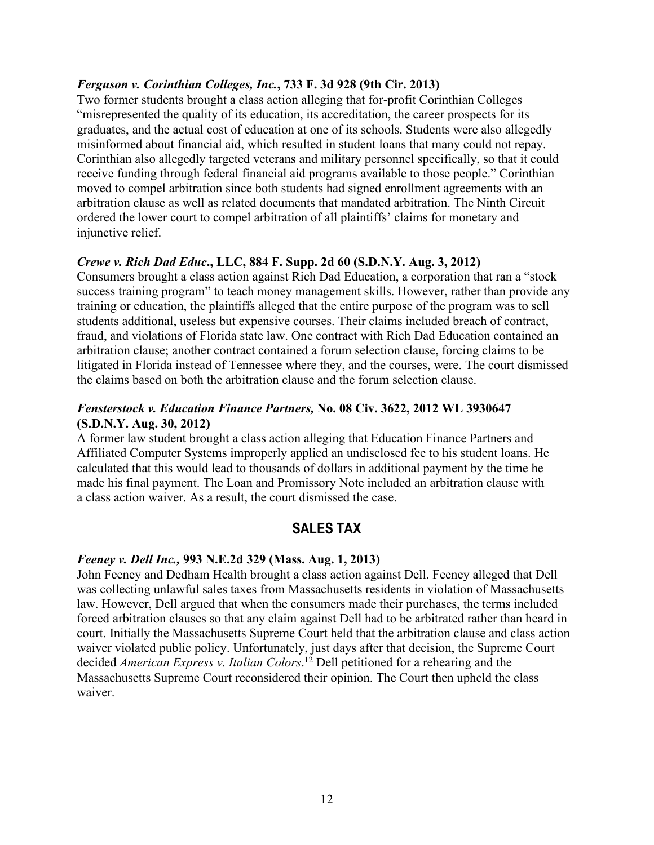#### *Ferguson v. Corinthian Colleges, Inc.***, 733 F. 3d 928 (9th Cir. 2013)**

Two former students brought a class action alleging that for-profit Corinthian Colleges "misrepresented the quality of its education, its accreditation, the career prospects for its graduates, and the actual cost of education at one of its schools. Students were also allegedly misinformed about financial aid, which resulted in student loans that many could not repay. Corinthian also allegedly targeted veterans and military personnel specifically, so that it could receive funding through federal financial aid programs available to those people." Corinthian moved to compel arbitration since both students had signed enrollment agreements with an arbitration clause as well as related documents that mandated arbitration. The Ninth Circuit ordered the lower court to compel arbitration of all plaintiffs' claims for monetary and injunctive relief.

# *Crewe v. Rich Dad Educ***., LLC, 884 F. Supp. 2d 60 (S.D.N.Y. Aug. 3, 2012)**

Consumers brought a class action against Rich Dad Education, a corporation that ran a "stock success training program" to teach money management skills. However, rather than provide any training or education, the plaintiffs alleged that the entire purpose of the program was to sell students additional, useless but expensive courses. Their claims included breach of contract, fraud, and violations of Florida state law. One contract with Rich Dad Education contained an arbitration clause; another contract contained a forum selection clause, forcing claims to be litigated in Florida instead of Tennessee where they, and the courses, were. The court dismissed the claims based on both the arbitration clause and the forum selection clause.

# *Fensterstock v. Education Finance Partners,* **No. 08 Civ. 3622, 2012 WL 3930647 (S.D.N.Y. Aug. 30, 2012)**

A former law student brought a class action alleging that Education Finance Partners and Affiliated Computer Systems improperly applied an undisclosed fee to his student loans. He calculated that this would lead to thousands of dollars in additional payment by the time he made his final payment. The Loan and Promissory Note included an arbitration clause with a class action waiver. As a result, the court dismissed the case.

# **SALES TAX**

# *Feeney v. Dell Inc.,* **993 N.E.2d 329 (Mass. Aug. 1, 2013)**

John Feeney and Dedham Health brought a class action against Dell. Feeney alleged that Dell was collecting unlawful sales taxes from Massachusetts residents in violation of Massachusetts law. However, Dell argued that when the consumers made their purchases, the terms included forced arbitration clauses so that any claim against Dell had to be arbitrated rather than heard in court. Initially the Massachusetts Supreme Court held that the arbitration clause and class action waiver violated public policy. Unfortunately, just days after that decision, the Supreme Court decided *American Express v. Italian Colors*. <sup>12</sup> Dell petitioned for a rehearing and the Massachusetts Supreme Court reconsidered their opinion. The Court then upheld the class waiver.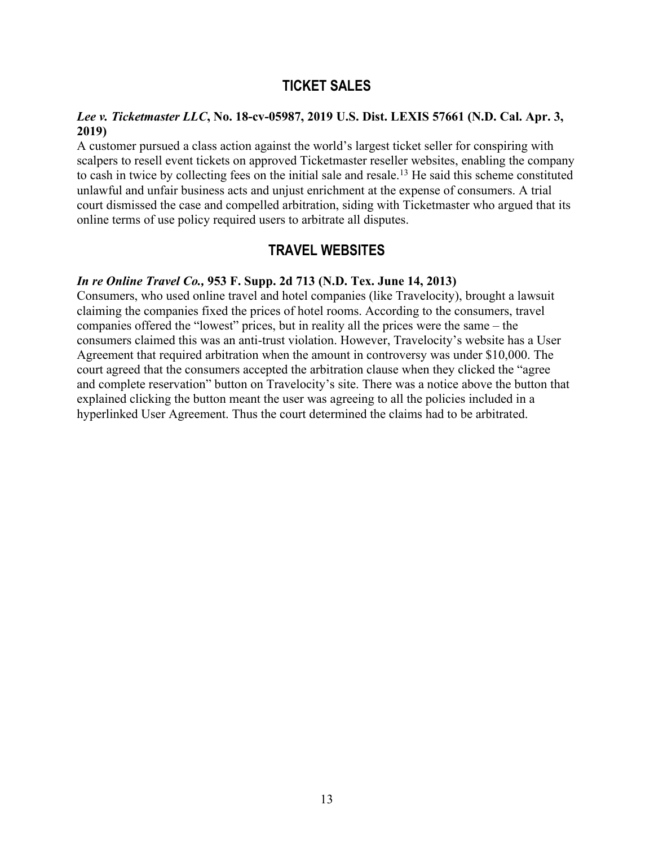# **TICKET SALES**

#### *Lee v. Ticketmaster LLC***, No. 18-cv-05987, 2019 U.S. Dist. LEXIS 57661 (N.D. Cal. Apr. 3, 2019)**

A customer pursued a class action against the world's largest ticket seller for conspiring with scalpers to resell event tickets on approved Ticketmaster reseller websites, enabling the company to cash in twice by collecting fees on the initial sale and resale.13 He said this scheme constituted unlawful and unfair business acts and unjust enrichment at the expense of consumers. A trial court dismissed the case and compelled arbitration, siding with Ticketmaster who argued that its online terms of use policy required users to arbitrate all disputes.

# **TRAVEL WEBSITES**

# *In re Online Travel Co.,* **953 F. Supp. 2d 713 (N.D. Tex. June 14, 2013)**

Consumers, who used online travel and hotel companies (like Travelocity), brought a lawsuit claiming the companies fixed the prices of hotel rooms. According to the consumers, travel companies offered the "lowest" prices, but in reality all the prices were the same – the consumers claimed this was an anti-trust violation. However, Travelocity's website has a User Agreement that required arbitration when the amount in controversy was under \$10,000. The court agreed that the consumers accepted the arbitration clause when they clicked the "agree and complete reservation" button on Travelocity's site. There was a notice above the button that explained clicking the button meant the user was agreeing to all the policies included in a hyperlinked User Agreement. Thus the court determined the claims had to be arbitrated.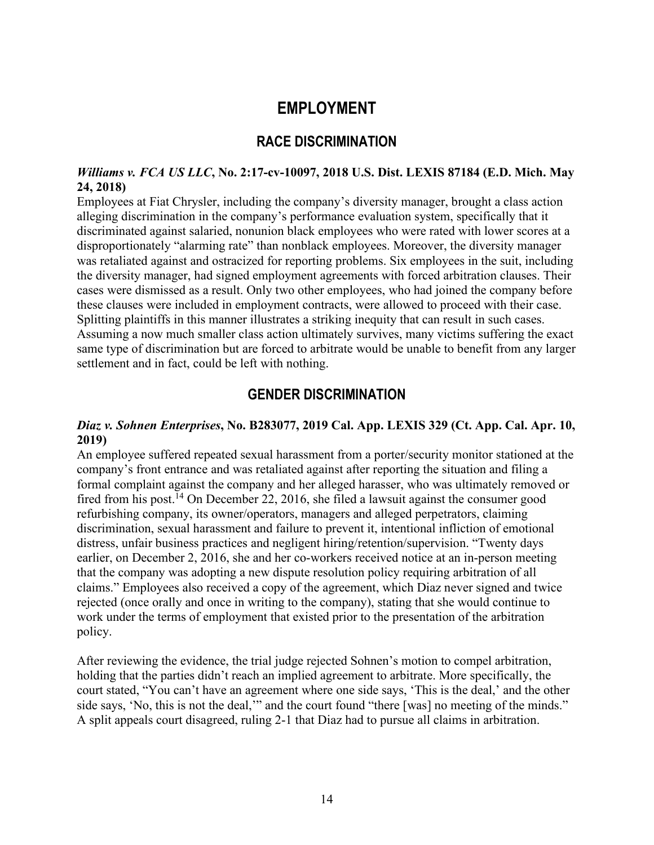# **EMPLOYMENT**

# **RACE DISCRIMINATION**

#### *Williams v. FCA US LLC***, No. 2:17-cv-10097, 2018 U.S. Dist. LEXIS 87184 (E.D. Mich. May 24, 2018)**

Employees at Fiat Chrysler, including the company's diversity manager, brought a class action alleging discrimination in the company's performance evaluation system, specifically that it discriminated against salaried, nonunion black employees who were rated with lower scores at a disproportionately "alarming rate" than nonblack employees. Moreover, the diversity manager was retaliated against and ostracized for reporting problems. Six employees in the suit, including the diversity manager, had signed employment agreements with forced arbitration clauses. Their cases were dismissed as a result. Only two other employees, who had joined the company before these clauses were included in employment contracts, were allowed to proceed with their case. Splitting plaintiffs in this manner illustrates a striking inequity that can result in such cases. Assuming a now much smaller class action ultimately survives, many victims suffering the exact same type of discrimination but are forced to arbitrate would be unable to benefit from any larger settlement and in fact, could be left with nothing.

# **GENDER DISCRIMINATION**

#### *Diaz v. Sohnen Enterprises***, No. B283077, 2019 Cal. App. LEXIS 329 (Ct. App. Cal. Apr. 10, 2019)**

An employee suffered repeated sexual harassment from a porter/security monitor stationed at the company's front entrance and was retaliated against after reporting the situation and filing a formal complaint against the company and her alleged harasser, who was ultimately removed or fired from his post.<sup>14</sup> On December 22, 2016, she filed a lawsuit against the consumer good refurbishing company, its owner/operators, managers and alleged perpetrators, claiming discrimination, sexual harassment and failure to prevent it, intentional infliction of emotional distress, unfair business practices and negligent hiring/retention/supervision. "Twenty days earlier, on December 2, 2016, she and her co-workers received notice at an in-person meeting that the company was adopting a new dispute resolution policy requiring arbitration of all claims." Employees also received a copy of the agreement, which Diaz never signed and twice rejected (once orally and once in writing to the company), stating that she would continue to work under the terms of employment that existed prior to the presentation of the arbitration policy.

After reviewing the evidence, the trial judge rejected Sohnen's motion to compel arbitration, holding that the parties didn't reach an implied agreement to arbitrate. More specifically, the court stated, "You can't have an agreement where one side says, 'This is the deal,' and the other side says, 'No, this is not the deal,'" and the court found "there [was] no meeting of the minds." A split appeals court disagreed, ruling 2-1 that Diaz had to pursue all claims in arbitration.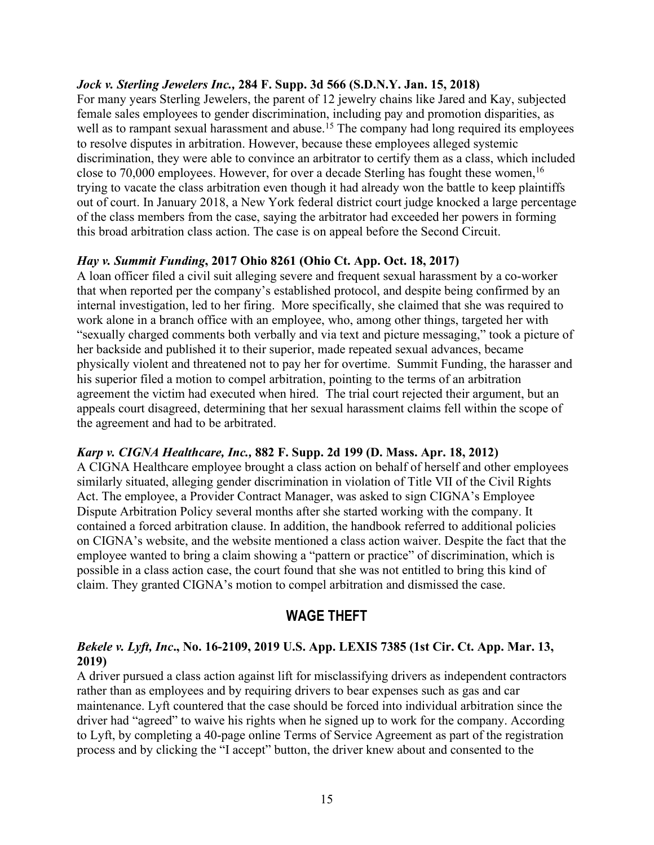#### *Jock v. Sterling Jewelers Inc.,* **284 F. Supp. 3d 566 (S.D.N.Y. Jan. 15, 2018)**

For many years Sterling Jewelers, the parent of 12 jewelry chains like Jared and Kay, subjected female sales employees to gender discrimination, including pay and promotion disparities, as well as to rampant sexual harassment and abuse.<sup>15</sup> The company had long required its employees to resolve disputes in arbitration. However, because these employees alleged systemic discrimination, they were able to convince an arbitrator to certify them as a class, which included close to 70,000 employees. However, for over a decade Sterling has fought these women,  $16$ trying to vacate the class arbitration even though it had already won the battle to keep plaintiffs out of court. In January 2018, a New York federal district court judge knocked a large percentage of the class members from the case, saying the arbitrator had exceeded her powers in forming this broad arbitration class action. The case is on appeal before the Second Circuit.

#### *Hay v. Summit Funding***, 2017 Ohio 8261 (Ohio Ct. App. Oct. 18, 2017)**

A loan officer filed a civil suit alleging severe and frequent sexual harassment by a co-worker that when reported per the company's established protocol, and despite being confirmed by an internal investigation, led to her firing. More specifically, she claimed that she was required to work alone in a branch office with an employee, who, among other things, targeted her with "sexually charged comments both verbally and via text and picture messaging," took a picture of her backside and published it to their superior, made repeated sexual advances, became physically violent and threatened not to pay her for overtime. Summit Funding, the harasser and his superior filed a motion to compel arbitration, pointing to the terms of an arbitration agreement the victim had executed when hired. The trial court rejected their argument, but an appeals court disagreed, determining that her sexual harassment claims fell within the scope of the agreement and had to be arbitrated.

#### *Karp v. CIGNA Healthcare, Inc.,* **882 F. Supp. 2d 199 (D. Mass. Apr. 18, 2012)**

A CIGNA Healthcare employee brought a class action on behalf of herself and other employees similarly situated, alleging gender discrimination in violation of Title VII of the Civil Rights Act. The employee, a Provider Contract Manager, was asked to sign CIGNA's Employee Dispute Arbitration Policy several months after she started working with the company. It contained a forced arbitration clause. In addition, the handbook referred to additional policies on CIGNA's website, and the website mentioned a class action waiver. Despite the fact that the employee wanted to bring a claim showing a "pattern or practice" of discrimination, which is possible in a class action case, the court found that she was not entitled to bring this kind of claim. They granted CIGNA's motion to compel arbitration and dismissed the case.

# **WAGE THEFT**

# *Bekele v. Lyft, Inc***., No. 16-2109, 2019 U.S. App. LEXIS 7385 (1st Cir. Ct. App. Mar. 13, 2019)**

A driver pursued a class action against lift for misclassifying drivers as independent contractors rather than as employees and by requiring drivers to bear expenses such as gas and car maintenance. Lyft countered that the case should be forced into individual arbitration since the driver had "agreed" to waive his rights when he signed up to work for the company. According to Lyft, by completing a 40-page online Terms of Service Agreement as part of the registration process and by clicking the "I accept" button, the driver knew about and consented to the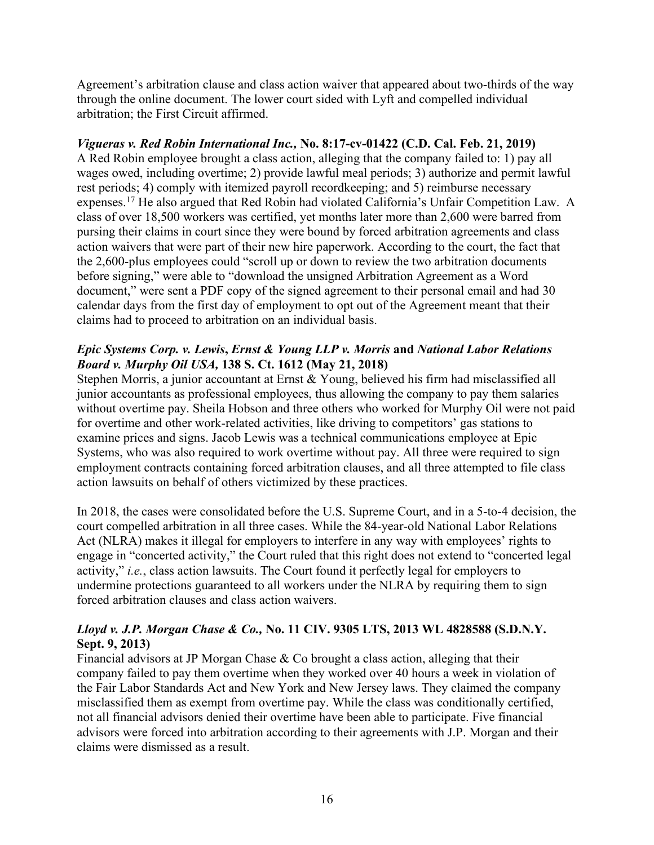Agreement's arbitration clause and class action waiver that appeared about two-thirds of the way through the online document. The lower court sided with Lyft and compelled individual arbitration; the First Circuit affirmed.

# *Vigueras v. Red Robin International Inc.,* **No. 8:17-cv-01422 (C.D. Cal. Feb. 21, 2019)**

A Red Robin employee brought a class action, alleging that the company failed to: 1) pay all wages owed, including overtime; 2) provide lawful meal periods; 3) authorize and permit lawful rest periods; 4) comply with itemized payroll recordkeeping; and 5) reimburse necessary expenses. <sup>17</sup> He also argued that Red Robin had violated California's Unfair Competition Law. A class of over 18,500 workers was certified, yet months later more than 2,600 were barred from pursing their claims in court since they were bound by forced arbitration agreements and class action waivers that were part of their new hire paperwork. According to the court, the fact that the 2,600-plus employees could "scroll up or down to review the two arbitration documents before signing," were able to "download the unsigned Arbitration Agreement as a Word document," were sent a PDF copy of the signed agreement to their personal email and had 30 calendar days from the first day of employment to opt out of the Agreement meant that their claims had to proceed to arbitration on an individual basis.

# *Epic Systems Corp. v. Lewis***,** *Ernst & Young LLP v. Morris* **and** *National Labor Relations Board v. Murphy Oil USA,* **138 S. Ct. 1612 (May 21, 2018)**

Stephen Morris, a junior accountant at Ernst & Young, believed his firm had misclassified all junior accountants as professional employees, thus allowing the company to pay them salaries without overtime pay. Sheila Hobson and three others who worked for Murphy Oil were not paid for overtime and other work-related activities, like driving to competitors' gas stations to examine prices and signs. Jacob Lewis was a technical communications employee at Epic Systems, who was also required to work overtime without pay. All three were required to sign employment contracts containing forced arbitration clauses, and all three attempted to file class action lawsuits on behalf of others victimized by these practices.

In 2018, the cases were consolidated before the U.S. Supreme Court, and in a 5-to-4 decision, the court compelled arbitration in all three cases. While the 84-year-old National Labor Relations Act (NLRA) makes it illegal for employers to interfere in any way with employees' rights to engage in "concerted activity," the Court ruled that this right does not extend to "concerted legal activity," *i.e.*, class action lawsuits. The Court found it perfectly legal for employers to undermine protections guaranteed to all workers under the NLRA by requiring them to sign forced arbitration clauses and class action waivers.

# *Lloyd v. J.P. Morgan Chase & Co.,* **No. 11 CIV. 9305 LTS, 2013 WL 4828588 (S.D.N.Y. Sept. 9, 2013)**

Financial advisors at JP Morgan Chase & Co brought a class action, alleging that their company failed to pay them overtime when they worked over 40 hours a week in violation of the Fair Labor Standards Act and New York and New Jersey laws. They claimed the company misclassified them as exempt from overtime pay. While the class was conditionally certified, not all financial advisors denied their overtime have been able to participate. Five financial advisors were forced into arbitration according to their agreements with J.P. Morgan and their claims were dismissed as a result.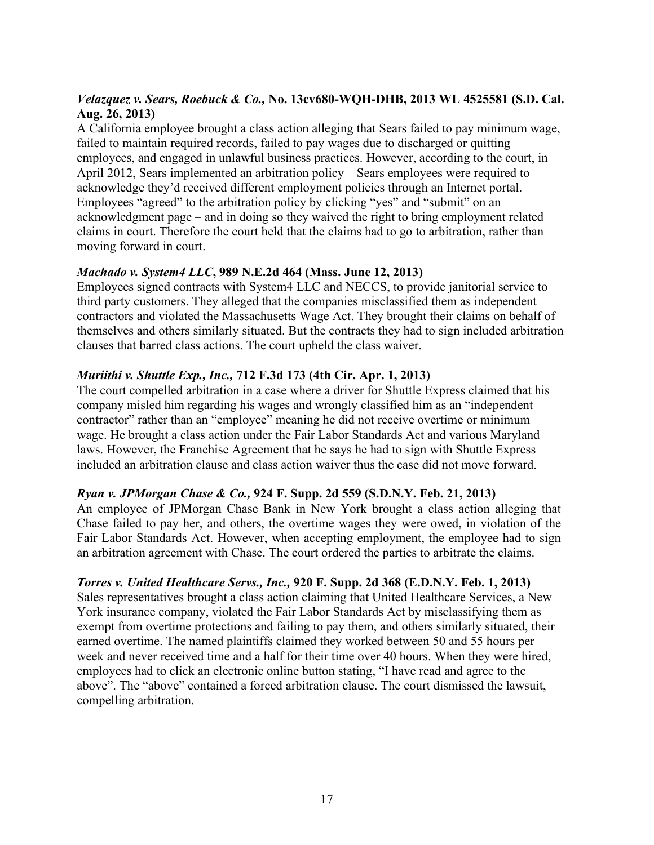# *Velazquez v. Sears, Roebuck & Co.,* **No. 13cv680-WQH-DHB, 2013 WL 4525581 (S.D. Cal. Aug. 26, 2013)**

A California employee brought a class action alleging that Sears failed to pay minimum wage, failed to maintain required records, failed to pay wages due to discharged or quitting employees, and engaged in unlawful business practices. However, according to the court, in April 2012, Sears implemented an arbitration policy – Sears employees were required to acknowledge they'd received different employment policies through an Internet portal. Employees "agreed" to the arbitration policy by clicking "yes" and "submit" on an acknowledgment page – and in doing so they waived the right to bring employment related claims in court. Therefore the court held that the claims had to go to arbitration, rather than moving forward in court.

# *Machado v. System4 LLC***, 989 N.E.2d 464 (Mass. June 12, 2013)**

Employees signed contracts with System4 LLC and NECCS, to provide janitorial service to third party customers. They alleged that the companies misclassified them as independent contractors and violated the Massachusetts Wage Act. They brought their claims on behalf of themselves and others similarly situated. But the contracts they had to sign included arbitration clauses that barred class actions. The court upheld the class waiver.

# *Muriithi v. Shuttle Exp., Inc.,* **712 F.3d 173 (4th Cir. Apr. 1, 2013)**

The court compelled arbitration in a case where a driver for Shuttle Express claimed that his company misled him regarding his wages and wrongly classified him as an "independent contractor" rather than an "employee" meaning he did not receive overtime or minimum wage. He brought a class action under the Fair Labor Standards Act and various Maryland laws. However, the Franchise Agreement that he says he had to sign with Shuttle Express included an arbitration clause and class action waiver thus the case did not move forward.

# *Ryan v. JPMorgan Chase & Co.,* **924 F. Supp. 2d 559 (S.D.N.Y. Feb. 21, 2013)**

An employee of JPMorgan Chase Bank in New York brought a class action alleging that Chase failed to pay her, and others, the overtime wages they were owed, in violation of the Fair Labor Standards Act. However, when accepting employment, the employee had to sign an arbitration agreement with Chase. The court ordered the parties to arbitrate the claims.

# *Torres v. United Healthcare Servs., Inc.,* **920 F. Supp. 2d 368 (E.D.N.Y. Feb. 1, 2013)**

Sales representatives brought a class action claiming that United Healthcare Services, a New York insurance company, violated the Fair Labor Standards Act by misclassifying them as exempt from overtime protections and failing to pay them, and others similarly situated, their earned overtime. The named plaintiffs claimed they worked between 50 and 55 hours per week and never received time and a half for their time over 40 hours. When they were hired, employees had to click an electronic online button stating, "I have read and agree to the above". The "above" contained a forced arbitration clause. The court dismissed the lawsuit, compelling arbitration.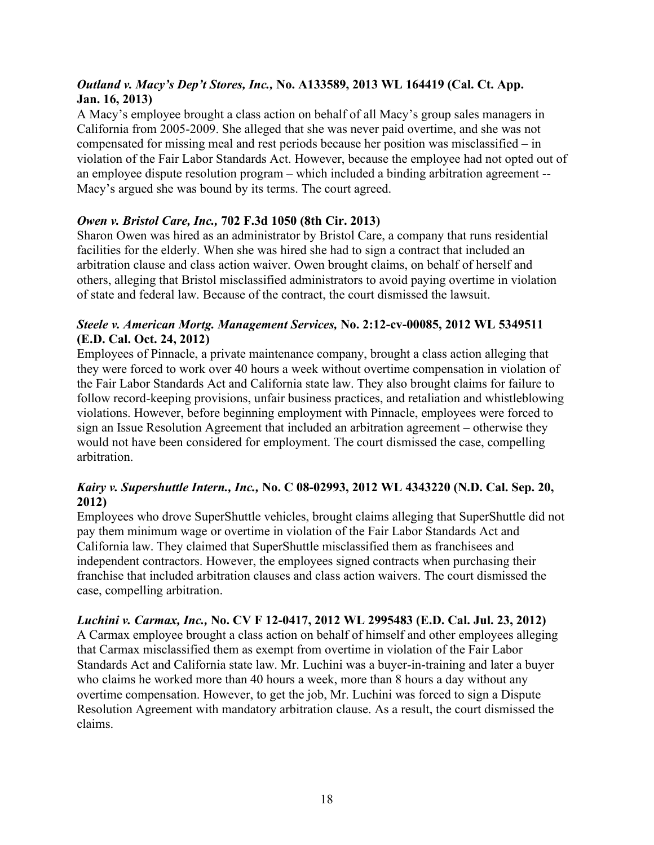# *Outland v. Macy's Dep't Stores, Inc.,* **No. A133589, 2013 WL 164419 (Cal. Ct. App. Jan. 16, 2013)**

A Macy's employee brought a class action on behalf of all Macy's group sales managers in California from 2005-2009. She alleged that she was never paid overtime, and she was not compensated for missing meal and rest periods because her position was misclassified – in violation of the Fair Labor Standards Act. However, because the employee had not opted out of an employee dispute resolution program – which included a binding arbitration agreement -- Macy's argued she was bound by its terms. The court agreed.

# *Owen v. Bristol Care, Inc.,* **702 F.3d 1050 (8th Cir. 2013)**

Sharon Owen was hired as an administrator by Bristol Care, a company that runs residential facilities for the elderly. When she was hired she had to sign a contract that included an arbitration clause and class action waiver. Owen brought claims, on behalf of herself and others, alleging that Bristol misclassified administrators to avoid paying overtime in violation of state and federal law. Because of the contract, the court dismissed the lawsuit.

#### *Steele v. American Mortg. Management Services,* **No. 2:12-cv-00085, 2012 WL 5349511 (E.D. Cal. Oct. 24, 2012)**

Employees of Pinnacle, a private maintenance company, brought a class action alleging that they were forced to work over 40 hours a week without overtime compensation in violation of the Fair Labor Standards Act and California state law. They also brought claims for failure to follow record-keeping provisions, unfair business practices, and retaliation and whistleblowing violations. However, before beginning employment with Pinnacle, employees were forced to sign an Issue Resolution Agreement that included an arbitration agreement – otherwise they would not have been considered for employment. The court dismissed the case, compelling arbitration.

# *Kairy v. Supershuttle Intern., Inc.,* **No. C 08-02993, 2012 WL 4343220 (N.D. Cal. Sep. 20, 2012)**

Employees who drove SuperShuttle vehicles, brought claims alleging that SuperShuttle did not pay them minimum wage or overtime in violation of the Fair Labor Standards Act and California law. They claimed that SuperShuttle misclassified them as franchisees and independent contractors. However, the employees signed contracts when purchasing their franchise that included arbitration clauses and class action waivers. The court dismissed the case, compelling arbitration.

# *Luchini v. Carmax, Inc.,* **No. CV F 12-0417, 2012 WL 2995483 (E.D. Cal. Jul. 23, 2012)**

A Carmax employee brought a class action on behalf of himself and other employees alleging that Carmax misclassified them as exempt from overtime in violation of the Fair Labor Standards Act and California state law. Mr. Luchini was a buyer-in-training and later a buyer who claims he worked more than 40 hours a week, more than 8 hours a day without any overtime compensation. However, to get the job, Mr. Luchini was forced to sign a Dispute Resolution Agreement with mandatory arbitration clause. As a result, the court dismissed the claims.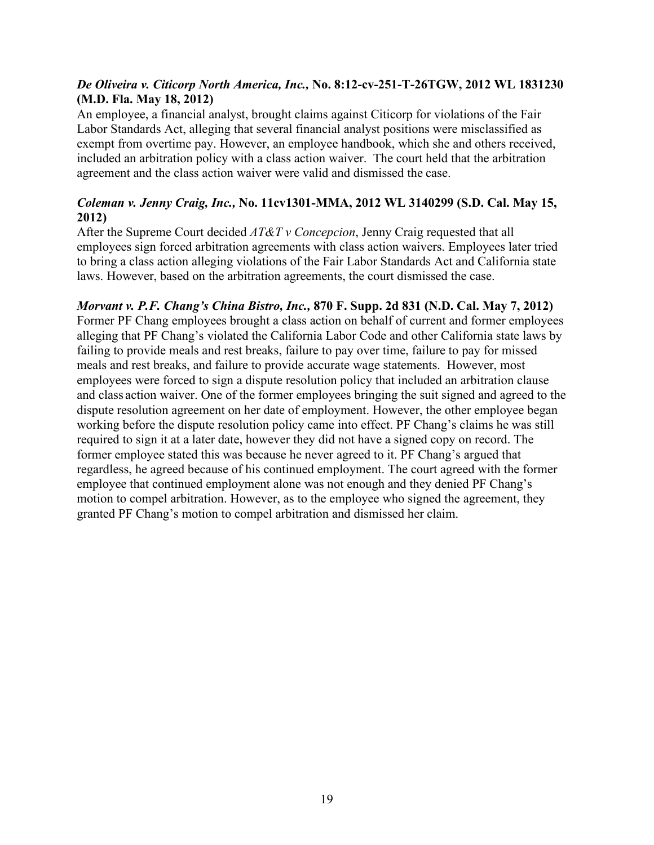### *De Oliveira v. Citicorp North America, Inc.,* **No. 8:12-cv-251-T-26TGW, 2012 WL 1831230 (M.D. Fla. May 18, 2012)**

An employee, a financial analyst, brought claims against Citicorp for violations of the Fair Labor Standards Act, alleging that several financial analyst positions were misclassified as exempt from overtime pay. However, an employee handbook, which she and others received, included an arbitration policy with a class action waiver. The court held that the arbitration agreement and the class action waiver were valid and dismissed the case.

# *Coleman v. Jenny Craig, Inc.,* **No. 11cv1301-MMA, 2012 WL 3140299 (S.D. Cal. May 15, 2012)**

After the Supreme Court decided *AT&T v Concepcion*, Jenny Craig requested that all employees sign forced arbitration agreements with class action waivers. Employees later tried to bring a class action alleging violations of the Fair Labor Standards Act and California state laws. However, based on the arbitration agreements, the court dismissed the case.

# *Morvant v. P.F. Chang's China Bistro, Inc.,* **870 F. Supp. 2d 831 (N.D. Cal. May 7, 2012)**

Former PF Chang employees brought a class action on behalf of current and former employees alleging that PF Chang's violated the California Labor Code and other California state laws by failing to provide meals and rest breaks, failure to pay over time, failure to pay for missed meals and rest breaks, and failure to provide accurate wage statements. However, most employees were forced to sign a dispute resolution policy that included an arbitration clause and class action waiver. One of the former employees bringing the suit signed and agreed to the dispute resolution agreement on her date of employment. However, the other employee began working before the dispute resolution policy came into effect. PF Chang's claims he was still required to sign it at a later date, however they did not have a signed copy on record. The former employee stated this was because he never agreed to it. PF Chang's argued that regardless, he agreed because of his continued employment. The court agreed with the former employee that continued employment alone was not enough and they denied PF Chang's motion to compel arbitration. However, as to the employee who signed the agreement, they granted PF Chang's motion to compel arbitration and dismissed her claim.